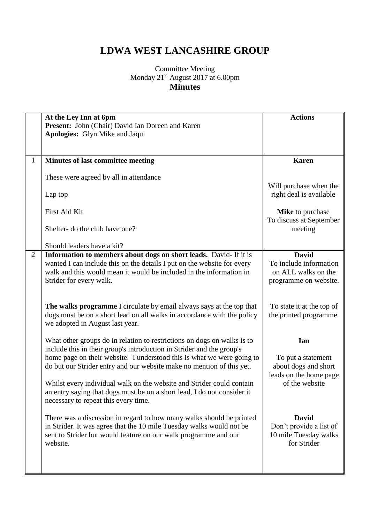## **LDWA WEST LANCASHIRE GROUP**

## Committee Meeting Monday 21<sup>st</sup> August 2017 at 6.00pm **Minutes**

|                | At the Ley Inn at 6pm<br>Present: John (Chair) David Ian Doreen and Karen                                                                                                                                                                      | <b>Actions</b>                                                                         |
|----------------|------------------------------------------------------------------------------------------------------------------------------------------------------------------------------------------------------------------------------------------------|----------------------------------------------------------------------------------------|
|                | Apologies: Glyn Mike and Jaqui                                                                                                                                                                                                                 |                                                                                        |
| $\mathbf{1}$   | Minutes of last committee meeting                                                                                                                                                                                                              | <b>Karen</b>                                                                           |
|                | These were agreed by all in attendance                                                                                                                                                                                                         | Will purchase when the                                                                 |
|                | Lap top                                                                                                                                                                                                                                        | right deal is available                                                                |
|                | First Aid Kit                                                                                                                                                                                                                                  | Mike to purchase<br>To discuss at September                                            |
|                | Shelter- do the club have one?                                                                                                                                                                                                                 | meeting                                                                                |
|                | Should leaders have a kit?                                                                                                                                                                                                                     |                                                                                        |
| $\overline{2}$ | Information to members about dogs on short leads. David- If it is<br>wanted I can include this on the details I put on the website for every<br>walk and this would mean it would be included in the information in<br>Strider for every walk. | <b>David</b><br>To include information<br>on ALL walks on the<br>programme on website. |
|                | The walks programme I circulate by email always says at the top that<br>dogs must be on a short lead on all walks in accordance with the policy<br>we adopted in August last year.                                                             | To state it at the top of<br>the printed programme.                                    |
|                | What other groups do in relation to restrictions on dogs on walks is to                                                                                                                                                                        | Ian                                                                                    |
|                | include this in their group's introduction in Strider and the group's<br>home page on their website. I understood this is what we were going to<br>do but our Strider entry and our website make no mention of this yet.                       | To put a statement<br>about dogs and short                                             |
|                | Whilst every individual walk on the website and Strider could contain<br>an entry saying that dogs must be on a short lead, I do not consider it<br>necessary to repeat this every time.                                                       | leads on the home page<br>of the website                                               |
|                | There was a discussion in regard to how many walks should be printed<br>in Strider. It was agree that the 10 mile Tuesday walks would not be<br>sent to Strider but would feature on our walk programme and our<br>website.                    | <b>David</b><br>Don't provide a list of<br>10 mile Tuesday walks<br>for Strider        |
|                |                                                                                                                                                                                                                                                |                                                                                        |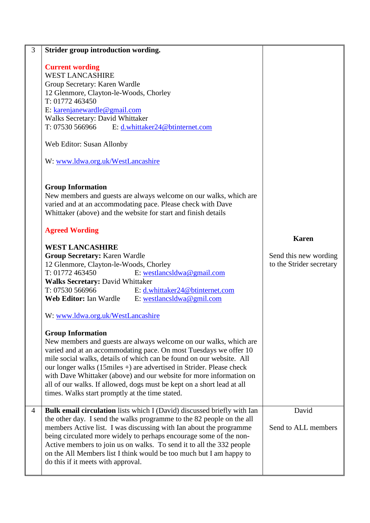| 3              | Strider group introduction wording.                                                                                                                                                                                                                                                                                                                                                                                                                                                                                                                                                                                                                                                                                                                                                                                                                                           |                                                   |
|----------------|-------------------------------------------------------------------------------------------------------------------------------------------------------------------------------------------------------------------------------------------------------------------------------------------------------------------------------------------------------------------------------------------------------------------------------------------------------------------------------------------------------------------------------------------------------------------------------------------------------------------------------------------------------------------------------------------------------------------------------------------------------------------------------------------------------------------------------------------------------------------------------|---------------------------------------------------|
|                | <b>Current wording</b><br><b>WEST LANCASHIRE</b><br>Group Secretary: Karen Wardle<br>12 Glenmore, Clayton-le-Woods, Chorley<br>T: 01772 463450<br>E: karenjanewardle@gmail.com<br>Walks Secretary: David Whittaker<br>T: 07530 566966<br>E: d.whittaker24@btinternet.com<br>Web Editor: Susan Allonby<br>W: www.ldwa.org.uk/WestLancashire                                                                                                                                                                                                                                                                                                                                                                                                                                                                                                                                    |                                                   |
|                | <b>Group Information</b><br>New members and guests are always welcome on our walks, which are<br>varied and at an accommodating pace. Please check with Dave<br>Whittaker (above) and the website for start and finish details                                                                                                                                                                                                                                                                                                                                                                                                                                                                                                                                                                                                                                                |                                                   |
|                | <b>Agreed Wording</b>                                                                                                                                                                                                                                                                                                                                                                                                                                                                                                                                                                                                                                                                                                                                                                                                                                                         | <b>Karen</b>                                      |
|                | <b>WEST LANCASHIRE</b><br><b>Group Secretary: Karen Wardle</b><br>12 Glenmore, Clayton-le-Woods, Chorley<br>T: 01772 463450<br>E: westlancsldwa@gmail.com<br><b>Walks Secretary: David Whittaker</b><br>T: 07530 566966<br>E: d.whittaker24@btinternet.com<br>Web Editor: Ian Wardle E: westlancsldwa@gmil.com<br>W: www.ldwa.org.uk/WestLancashire<br><b>Group Information</b><br>New members and guests are always welcome on our walks, which are<br>varied and at an accommodating pace. On most Tuesdays we offer 10<br>mile social walks, details of which can be found on our website. All<br>our longer walks (15miles +) are advertised in Strider. Please check<br>with Dave Whittaker (above) and our website for more information on<br>all of our walks. If allowed, dogs must be kept on a short lead at all<br>times. Walks start promptly at the time stated. | Send this new wording<br>to the Strider secretary |
| $\overline{4}$ | <b>Bulk email circulation</b> lists which I (David) discussed briefly with Ian<br>the other day. I send the walks programme to the 82 people on the all<br>members Active list. I was discussing with Ian about the programme<br>being circulated more widely to perhaps encourage some of the non-<br>Active members to join us on walks. To send it to all the 332 people<br>on the All Members list I think would be too much but I am happy to<br>do this if it meets with approval.                                                                                                                                                                                                                                                                                                                                                                                      | David<br>Send to ALL members                      |